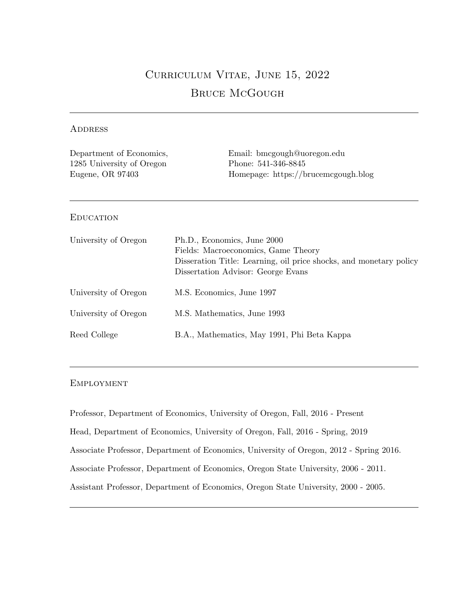# Curriculum Vitae, June 15, 2022 Bruce McGough

## **ADDRESS**

| Department of Economics,<br>1285 University of Oregon<br>Eugene, OR 97403 | Email: bmcgough@uoregon.edu<br>Phone: 541-346-8845<br>Homepage: https://brucemcgough.blog                                                                                      |
|---------------------------------------------------------------------------|--------------------------------------------------------------------------------------------------------------------------------------------------------------------------------|
| <b>EDUCATION</b>                                                          |                                                                                                                                                                                |
| University of Oregon                                                      | Ph.D., Economics, June 2000<br>Fields: Macroeconomics, Game Theory<br>Disseration Title: Learning, oil price shocks, and monetary policy<br>Dissertation Advisor: George Evans |
| University of Oregon                                                      | M.S. Economics, June 1997                                                                                                                                                      |
| University of Oregon                                                      | M.S. Mathematics, June 1993                                                                                                                                                    |
| Reed College                                                              | B.A., Mathematics, May 1991, Phi Beta Kappa                                                                                                                                    |

# Employment

Professor, Department of Economics, University of Oregon, Fall, 2016 - Present Head, Department of Economics, University of Oregon, Fall, 2016 - Spring, 2019 Associate Professor, Department of Economics, University of Oregon, 2012 - Spring 2016. Associate Professor, Department of Economics, Oregon State University, 2006 - 2011. Assistant Professor, Department of Economics, Oregon State University, 2000 - 2005.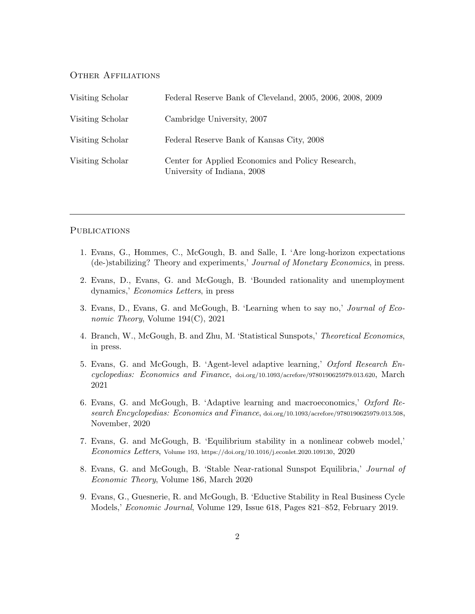#### Other Affiliations

| Visiting Scholar | Federal Reserve Bank of Cleveland, 2005, 2006, 2008, 2009                        |
|------------------|----------------------------------------------------------------------------------|
| Visiting Scholar | Cambridge University, 2007                                                       |
| Visiting Scholar | Federal Reserve Bank of Kansas City, 2008                                        |
| Visiting Scholar | Center for Applied Economics and Policy Research,<br>University of Indiana, 2008 |

## **PUBLICATIONS**

- 1. Evans, G., Hommes, C., McGough, B. and Salle, I. 'Are long-horizon expectations (de-)stabilizing? Theory and experiments,' Journal of Monetary Economics, in press.
- 2. Evans, D., Evans, G. and McGough, B. 'Bounded rationality and unemployment dynamics,' Economics Letters, in press
- 3. Evans, D., Evans, G. and McGough, B. 'Learning when to say no,' Journal of Economic Theory, Volume 194(C), 2021
- 4. Branch, W., McGough, B. and Zhu, M. 'Statistical Sunspots,' Theoretical Economics, in press.
- 5. Evans, G. and McGough, B. 'Agent-level adaptive learning,' Oxford Research Encyclopedias: Economics and Finance, doi.org/10.1093/acrefore/9780190625979.013.620, March 2021
- 6. Evans, G. and McGough, B. 'Adaptive learning and macroeconomics,' Oxford Research Encyclopedias: Economics and Finance, doi.org/10.1093/acrefore/9780190625979.013.508, November, 2020
- 7. Evans, G. and McGough, B. 'Equilibrium stability in a nonlinear cobweb model,' Economics Letters, Volume 193, https://doi.org/10.1016/j.econlet.2020.109130, 2020
- 8. Evans, G. and McGough, B. 'Stable Near-rational Sunspot Equilibria,' Journal of Economic Theory, Volume 186, March 2020
- 9. Evans, G., Guesnerie, R. and McGough, B. 'Eductive Stability in Real Business Cycle Models,' Economic Journal, Volume 129, Issue 618, Pages 821–852, February 2019.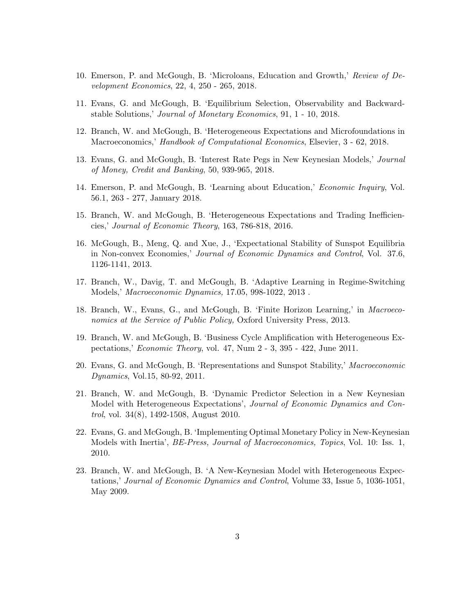- 10. Emerson, P. and McGough, B. 'Microloans, Education and Growth,' Review of Development Economics, 22, 4, 250 - 265, 2018.
- 11. Evans, G. and McGough, B. 'Equilibrium Selection, Observability and Backwardstable Solutions,' Journal of Monetary Economics, 91, 1 - 10, 2018.
- 12. Branch, W. and McGough, B. 'Heterogeneous Expectations and Microfoundations in Macroeconomics,' Handbook of Computational Economics, Elsevier, 3 - 62, 2018.
- 13. Evans, G. and McGough, B. 'Interest Rate Pegs in New Keynesian Models,' Journal of Money, Credit and Banking, 50, 939-965, 2018.
- 14. Emerson, P. and McGough, B. 'Learning about Education,' Economic Inquiry, Vol. 56.1, 263 - 277, January 2018.
- 15. Branch, W. and McGough, B. 'Heterogeneous Expectations and Trading Inefficiencies,' Journal of Economic Theory, 163, 786-818, 2016.
- 16. McGough, B., Meng, Q. and Xue, J., 'Expectational Stability of Sunspot Equilibria in Non-convex Economies,' Journal of Economic Dynamics and Control, Vol. 37.6, 1126-1141, 2013.
- 17. Branch, W., Davig, T. and McGough, B. 'Adaptive Learning in Regime-Switching Models,' Macroeconomic Dynamics, 17.05, 998-1022, 2013 .
- 18. Branch, W., Evans, G., and McGough, B. 'Finite Horizon Learning,' in Macroeconomics at the Service of Public Policy, Oxford University Press, 2013.
- 19. Branch, W. and McGough, B. 'Business Cycle Amplification with Heterogeneous Expectations,' Economic Theory, vol. 47, Num 2 - 3, 395 - 422, June 2011.
- 20. Evans, G. and McGough, B. 'Representations and Sunspot Stability,' Macroeconomic Dynamics, Vol.15, 80-92, 2011.
- 21. Branch, W. and McGough, B. 'Dynamic Predictor Selection in a New Keynesian Model with Heterogeneous Expectations', Journal of Economic Dynamics and Control, vol. 34(8), 1492-1508, August 2010.
- 22. Evans, G. and McGough, B. 'Implementing Optimal Monetary Policy in New-Keynesian Models with Inertia', BE-Press, Journal of Macroeconomics, Topics, Vol. 10: Iss. 1, 2010.
- 23. Branch, W. and McGough, B. 'A New-Keynesian Model with Heterogeneous Expectations,' Journal of Economic Dynamics and Control, Volume 33, Issue 5, 1036-1051, May 2009.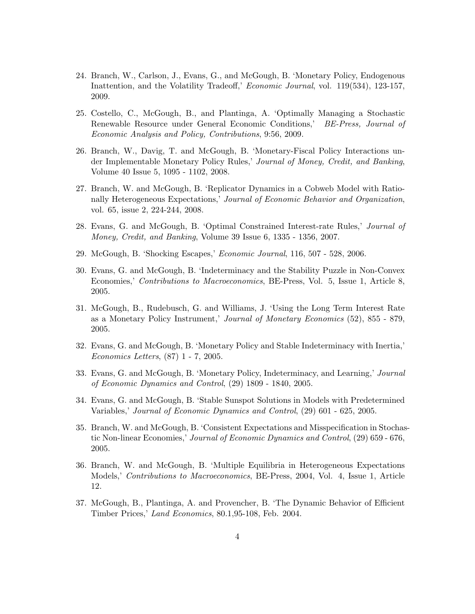- 24. Branch, W., Carlson, J., Evans, G., and McGough, B. 'Monetary Policy, Endogenous Inattention, and the Volatility Tradeoff,' Economic Journal, vol. 119(534), 123-157, 2009.
- 25. Costello, C., McGough, B., and Plantinga, A. 'Optimally Managing a Stochastic Renewable Resource under General Economic Conditions,' BE-Press, Journal of Economic Analysis and Policy, Contributions, 9:56, 2009.
- 26. Branch, W., Davig, T. and McGough, B. 'Monetary-Fiscal Policy Interactions under Implementable Monetary Policy Rules,' Journal of Money, Credit, and Banking, Volume 40 Issue 5, 1095 - 1102, 2008.
- 27. Branch, W. and McGough, B. 'Replicator Dynamics in a Cobweb Model with Rationally Heterogeneous Expectations,' Journal of Economic Behavior and Organization, vol. 65, issue 2, 224-244, 2008.
- 28. Evans, G. and McGough, B. 'Optimal Constrained Interest-rate Rules,' Journal of Money, Credit, and Banking, Volume 39 Issue 6, 1335 - 1356, 2007.
- 29. McGough, B. 'Shocking Escapes,' Economic Journal, 116, 507 528, 2006.
- 30. Evans, G. and McGough, B. 'Indeterminacy and the Stability Puzzle in Non-Convex Economies,' Contributions to Macroeconomics, BE-Press, Vol. 5, Issue 1, Article 8, 2005.
- 31. McGough, B., Rudebusch, G. and Williams, J. 'Using the Long Term Interest Rate as a Monetary Policy Instrument,' Journal of Monetary Economics (52), 855 - 879, 2005.
- 32. Evans, G. and McGough, B. 'Monetary Policy and Stable Indeterminacy with Inertia,' Economics Letters, (87) 1 - 7, 2005.
- 33. Evans, G. and McGough, B. 'Monetary Policy, Indeterminacy, and Learning,' Journal of Economic Dynamics and Control, (29) 1809 - 1840, 2005.
- 34. Evans, G. and McGough, B. 'Stable Sunspot Solutions in Models with Predetermined Variables,' Journal of Economic Dynamics and Control, (29) 601 - 625, 2005.
- 35. Branch, W. and McGough, B. 'Consistent Expectations and Misspecification in Stochastic Non-linear Economies,' Journal of Economic Dynamics and Control, (29) 659 - 676, 2005.
- 36. Branch, W. and McGough, B. 'Multiple Equilibria in Heterogeneous Expectations Models,' Contributions to Macroeconomics, BE-Press, 2004, Vol. 4, Issue 1, Article 12.
- 37. McGough, B., Plantinga, A. and Provencher, B. 'The Dynamic Behavior of Efficient Timber Prices,' Land Economics, 80.1,95-108, Feb. 2004.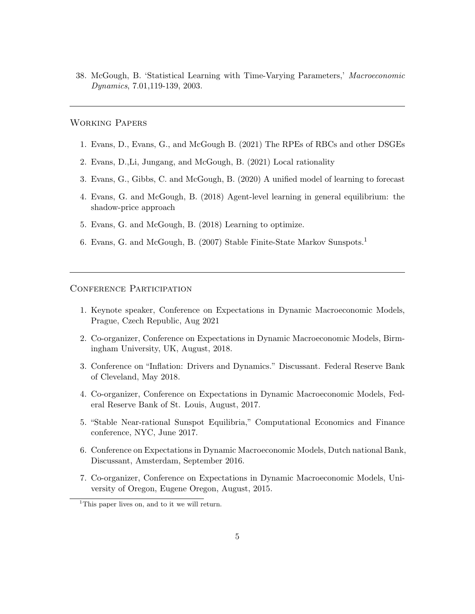38. McGough, B. 'Statistical Learning with Time-Varying Parameters,' Macroeconomic Dynamics, 7.01,119-139, 2003.

#### Working Papers

- 1. Evans, D., Evans, G., and McGough B. (2021) The RPEs of RBCs and other DSGEs
- 2. Evans, D.,Li, Jungang, and McGough, B. (2021) Local rationality
- 3. Evans, G., Gibbs, C. and McGough, B. (2020) A unified model of learning to forecast
- 4. Evans, G. and McGough, B. (2018) Agent-level learning in general equilibrium: the shadow-price approach
- 5. Evans, G. and McGough, B. (2018) Learning to optimize.
- 6. Evans, G. and McGough, B. (2007) Stable Finite-State Markov Sunspots.<sup>1</sup>

#### CONFERENCE PARTICIPATION

- 1. Keynote speaker, Conference on Expectations in Dynamic Macroeconomic Models, Prague, Czech Republic, Aug 2021
- 2. Co-organizer, Conference on Expectations in Dynamic Macroeconomic Models, Birmingham University, UK, August, 2018.
- 3. Conference on "Inflation: Drivers and Dynamics." Discussant. Federal Reserve Bank of Cleveland, May 2018.
- 4. Co-organizer, Conference on Expectations in Dynamic Macroeconomic Models, Federal Reserve Bank of St. Louis, August, 2017.
- 5. "Stable Near-rational Sunspot Equilibria," Computational Economics and Finance conference, NYC, June 2017.
- 6. Conference on Expectations in Dynamic Macroeconomic Models, Dutch national Bank, Discussant, Amsterdam, September 2016.
- 7. Co-organizer, Conference on Expectations in Dynamic Macroeconomic Models, University of Oregon, Eugene Oregon, August, 2015.

<sup>&</sup>lt;sup>1</sup>This paper lives on, and to it we will return.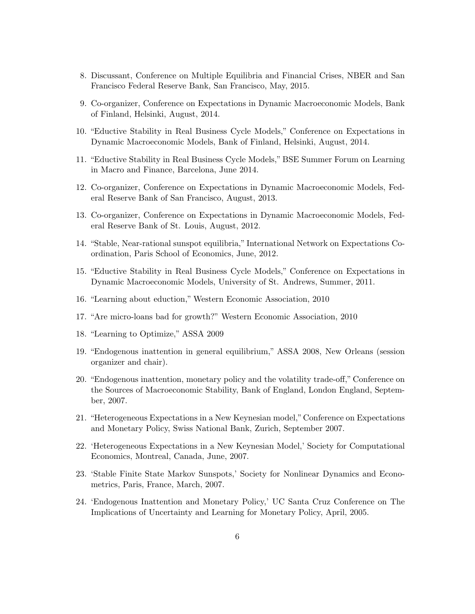- 8. Discussant, Conference on Multiple Equilibria and Financial Crises, NBER and San Francisco Federal Reserve Bank, San Francisco, May, 2015.
- 9. Co-organizer, Conference on Expectations in Dynamic Macroeconomic Models, Bank of Finland, Helsinki, August, 2014.
- 10. "Eductive Stability in Real Business Cycle Models," Conference on Expectations in Dynamic Macroeconomic Models, Bank of Finland, Helsinki, August, 2014.
- 11. "Eductive Stability in Real Business Cycle Models," BSE Summer Forum on Learning in Macro and Finance, Barcelona, June 2014.
- 12. Co-organizer, Conference on Expectations in Dynamic Macroeconomic Models, Federal Reserve Bank of San Francisco, August, 2013.
- 13. Co-organizer, Conference on Expectations in Dynamic Macroeconomic Models, Federal Reserve Bank of St. Louis, August, 2012.
- 14. "Stable, Near-rational sunspot equilibria," International Network on Expectations Coordination, Paris School of Economics, June, 2012.
- 15. "Eductive Stability in Real Business Cycle Models," Conference on Expectations in Dynamic Macroeconomic Models, University of St. Andrews, Summer, 2011.
- 16. "Learning about eduction," Western Economic Association, 2010
- 17. "Are micro-loans bad for growth?" Western Economic Association, 2010
- 18. "Learning to Optimize," ASSA 2009
- 19. "Endogenous inattention in general equilibrium," ASSA 2008, New Orleans (session organizer and chair).
- 20. "Endogenous inattention, monetary policy and the volatility trade-off," Conference on the Sources of Macroeconomic Stability, Bank of England, London England, September, 2007.
- 21. "Heterogeneous Expectations in a New Keynesian model,"Conference on Expectations and Monetary Policy, Swiss National Bank, Zurich, September 2007.
- 22. 'Heterogeneous Expectations in a New Keynesian Model,' Society for Computational Economics, Montreal, Canada, June, 2007.
- 23. 'Stable Finite State Markov Sunspots,' Society for Nonlinear Dynamics and Econometrics, Paris, France, March, 2007.
- 24. 'Endogenous Inattention and Monetary Policy,' UC Santa Cruz Conference on The Implications of Uncertainty and Learning for Monetary Policy, April, 2005.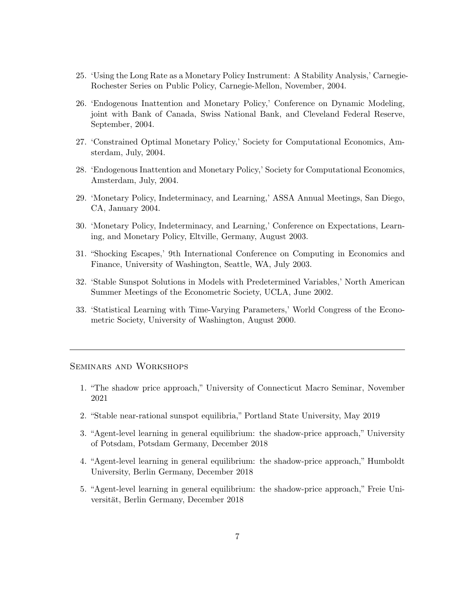- 25. 'Using the Long Rate as a Monetary Policy Instrument: A Stability Analysis,' Carnegie-Rochester Series on Public Policy, Carnegie-Mellon, November, 2004.
- 26. 'Endogenous Inattention and Monetary Policy,' Conference on Dynamic Modeling, joint with Bank of Canada, Swiss National Bank, and Cleveland Federal Reserve, September, 2004.
- 27. 'Constrained Optimal Monetary Policy,' Society for Computational Economics, Amsterdam, July, 2004.
- 28. 'Endogenous Inattention and Monetary Policy,' Society for Computational Economics, Amsterdam, July, 2004.
- 29. 'Monetary Policy, Indeterminacy, and Learning,' ASSA Annual Meetings, San Diego, CA, January 2004.
- 30. 'Monetary Policy, Indeterminacy, and Learning,' Conference on Expectations, Learning, and Monetary Policy, Eltville, Germany, August 2003.
- 31. "Shocking Escapes,' 9th International Conference on Computing in Economics and Finance, University of Washington, Seattle, WA, July 2003.
- 32. 'Stable Sunspot Solutions in Models with Predetermined Variables,' North American Summer Meetings of the Econometric Society, UCLA, June 2002.
- 33. 'Statistical Learning with Time-Varying Parameters,' World Congress of the Econometric Society, University of Washington, August 2000.

#### Seminars and Workshops

- 1. "The shadow price approach," University of Connecticut Macro Seminar, November 2021
- 2. "Stable near-rational sunspot equilibria," Portland State University, May 2019
- 3. "Agent-level learning in general equilibrium: the shadow-price approach," University of Potsdam, Potsdam Germany, December 2018
- 4. "Agent-level learning in general equilibrium: the shadow-price approach," Humboldt University, Berlin Germany, December 2018
- 5. "Agent-level learning in general equilibrium: the shadow-price approach," Freie Universität, Berlin Germany, December 2018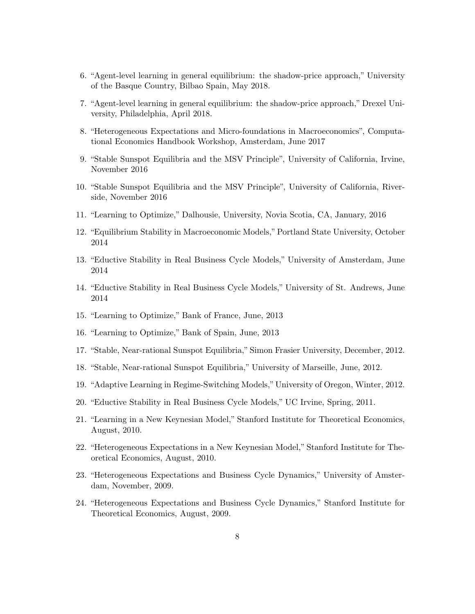- 6. "Agent-level learning in general equilibrium: the shadow-price approach," University of the Basque Country, Bilbao Spain, May 2018.
- 7. "Agent-level learning in general equilibrium: the shadow-price approach," Drexel University, Philadelphia, April 2018.
- 8. "Heterogeneous Expectations and Micro-foundations in Macroeconomics", Computational Economics Handbook Workshop, Amsterdam, June 2017
- 9. "Stable Sunspot Equilibria and the MSV Principle", University of California, Irvine, November 2016
- 10. "Stable Sunspot Equilibria and the MSV Principle", University of California, Riverside, November 2016
- 11. "Learning to Optimize," Dalhousie, University, Novia Scotia, CA, January, 2016
- 12. "Equilibrium Stability in Macroeconomic Models," Portland State University, October 2014
- 13. "Eductive Stability in Real Business Cycle Models," University of Amsterdam, June 2014
- 14. "Eductive Stability in Real Business Cycle Models," University of St. Andrews, June 2014
- 15. "Learning to Optimize," Bank of France, June, 2013
- 16. "Learning to Optimize," Bank of Spain, June, 2013
- 17. "Stable, Near-rational Sunspot Equilibria," Simon Frasier University, December, 2012.
- 18. "Stable, Near-rational Sunspot Equilibria," University of Marseille, June, 2012.
- 19. "Adaptive Learning in Regime-Switching Models," University of Oregon, Winter, 2012.
- 20. "Eductive Stability in Real Business Cycle Models," UC Irvine, Spring, 2011.
- 21. "Learning in a New Keynesian Model," Stanford Institute for Theoretical Economics, August, 2010.
- 22. "Heterogeneous Expectations in a New Keynesian Model," Stanford Institute for Theoretical Economics, August, 2010.
- 23. "Heterogeneous Expectations and Business Cycle Dynamics," University of Amsterdam, November, 2009.
- 24. "Heterogeneous Expectations and Business Cycle Dynamics," Stanford Institute for Theoretical Economics, August, 2009.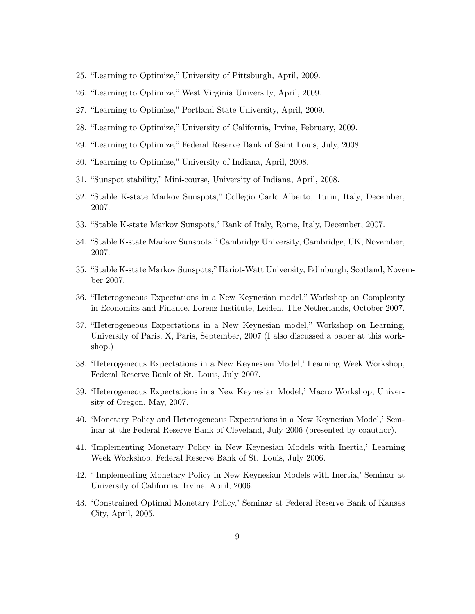- 25. "Learning to Optimize," University of Pittsburgh, April, 2009.
- 26. "Learning to Optimize," West Virginia University, April, 2009.
- 27. "Learning to Optimize," Portland State University, April, 2009.
- 28. "Learning to Optimize," University of California, Irvine, February, 2009.
- 29. "Learning to Optimize," Federal Reserve Bank of Saint Louis, July, 2008.
- 30. "Learning to Optimize," University of Indiana, April, 2008.
- 31. "Sunspot stability," Mini-course, University of Indiana, April, 2008.
- 32. "Stable K-state Markov Sunspots," Collegio Carlo Alberto, Turin, Italy, December, 2007.
- 33. "Stable K-state Markov Sunspots," Bank of Italy, Rome, Italy, December, 2007.
- 34. "Stable K-state Markov Sunspots," Cambridge University, Cambridge, UK, November, 2007.
- 35. "Stable K-state Markov Sunspots,"Hariot-Watt University, Edinburgh, Scotland, November 2007.
- 36. "Heterogeneous Expectations in a New Keynesian model," Workshop on Complexity in Economics and Finance, Lorenz Institute, Leiden, The Netherlands, October 2007.
- 37. "Heterogeneous Expectations in a New Keynesian model," Workshop on Learning, University of Paris, X, Paris, September, 2007 (I also discussed a paper at this workshop.)
- 38. 'Heterogeneous Expectations in a New Keynesian Model,' Learning Week Workshop, Federal Reserve Bank of St. Louis, July 2007.
- 39. 'Heterogeneous Expectations in a New Keynesian Model,' Macro Workshop, University of Oregon, May, 2007.
- 40. 'Monetary Policy and Heterogeneous Expectations in a New Keynesian Model,' Seminar at the Federal Reserve Bank of Cleveland, July 2006 (presented by coauthor).
- 41. 'Implementing Monetary Policy in New Keynesian Models with Inertia,' Learning Week Workshop, Federal Reserve Bank of St. Louis, July 2006.
- 42. ' Implementing Monetary Policy in New Keynesian Models with Inertia,' Seminar at University of California, Irvine, April, 2006.
- 43. 'Constrained Optimal Monetary Policy,' Seminar at Federal Reserve Bank of Kansas City, April, 2005.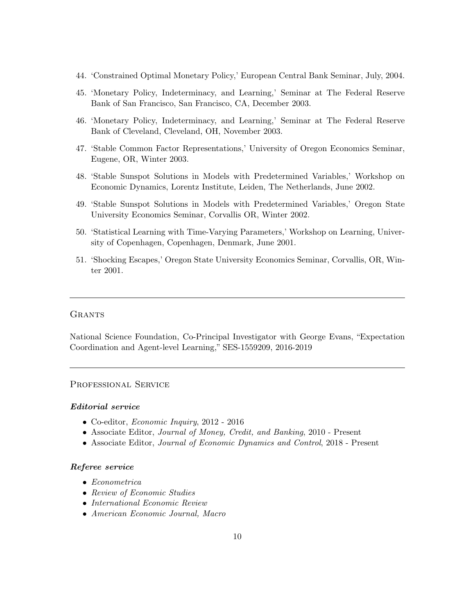- 44. 'Constrained Optimal Monetary Policy,' European Central Bank Seminar, July, 2004.
- 45. 'Monetary Policy, Indeterminacy, and Learning,' Seminar at The Federal Reserve Bank of San Francisco, San Francisco, CA, December 2003.
- 46. 'Monetary Policy, Indeterminacy, and Learning,' Seminar at The Federal Reserve Bank of Cleveland, Cleveland, OH, November 2003.
- 47. 'Stable Common Factor Representations,' University of Oregon Economics Seminar, Eugene, OR, Winter 2003.
- 48. 'Stable Sunspot Solutions in Models with Predetermined Variables,' Workshop on Economic Dynamics, Lorentz Institute, Leiden, The Netherlands, June 2002.
- 49. 'Stable Sunspot Solutions in Models with Predetermined Variables,' Oregon State University Economics Seminar, Corvallis OR, Winter 2002.
- 50. 'Statistical Learning with Time-Varying Parameters,' Workshop on Learning, University of Copenhagen, Copenhagen, Denmark, June 2001.
- 51. 'Shocking Escapes,' Oregon State University Economics Seminar, Corvallis, OR, Winter 2001.

#### **GRANTS**

National Science Foundation, Co-Principal Investigator with George Evans, "Expectation Coordination and Agent-level Learning," SES-1559209, 2016-2019

## Professional Service

#### Editorial service

- Co-editor, Economic Inquiry, 2012 2016
- Associate Editor, Journal of Money, Credit, and Banking, 2010 Present
- Associate Editor, Journal of Economic Dynamics and Control, 2018 Present

#### Referee service

- Econometrica
- Review of Economic Studies
- International Economic Review
- American Economic Journal, Macro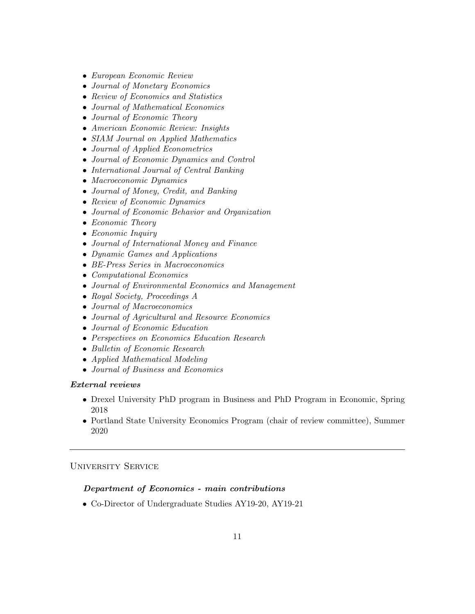- European Economic Review
- Journal of Monetary Economics
- Review of Economics and Statistics
- Journal of Mathematical Economics
- Journal of Economic Theory
- American Economic Review: Insights
- SIAM Journal on Applied Mathematics
- Journal of Applied Econometrics
- Journal of Economic Dynamics and Control
- International Journal of Central Banking
- Macroeconomic Dynamics
- Journal of Money, Credit, and Banking
- Review of Economic Dynamics
- Journal of Economic Behavior and Organization
- Economic Theory
- Economic Inquiry
- Journal of International Money and Finance
- Dynamic Games and Applications
- BE-Press Series in Macroeconomics
- Computational Economics
- Journal of Environmental Economics and Management
- Royal Society, Proceedings A
- Journal of Macroeconomics
- Journal of Agricultural and Resource Economics
- Journal of Economic Education
- Perspectives on Economics Education Research
- Bulletin of Economic Research
- Applied Mathematical Modeling
- Journal of Business and Economics

#### External reviews

- Drexel University PhD program in Business and PhD Program in Economic, Spring 2018
- Portland State University Economics Program (chair of review committee), Summer 2020

# University Service

#### Department of Economics - main contributions

• Co-Director of Undergraduate Studies AY19-20, AY19-21